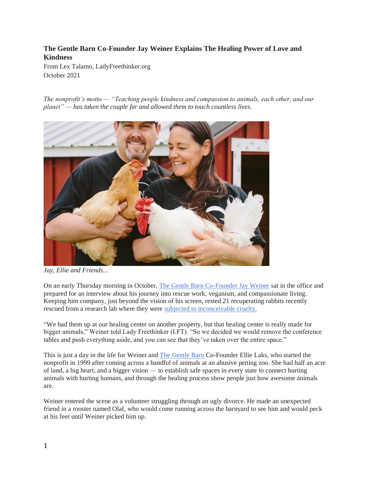# **The Gentle Barn Co-Founder Jay Weiner Explains The Healing Power of Love and Kindness**

From Lex Talamo, LadyFreethinker.org October 2021

*The nonprofit's motto — "Teaching people kindness and compassion to animals, each other, and our planet" — has taken the couple far and allowed them to touch countless lives.*



*Jay, Ellie and Friends...*

On an early Thursday morning in October, [The Gentle Barn Co-Founder Jay Weiner](https://www.gentlebarn.org/about-us/key-staff/jay-weiner) sat in the office and prepared for an interview about his journey into rescue work, veganism, and compassionate living. Keeping him company, just beyond the vision of his screen, rested 21 recuperating rabbits recently rescued from a research lab where they were [subjected to inconceivable cruelty.](https://www.gentlebarn.org/bunny-adoption?fbclid=IwAR1Ek0nUV4zxuzDtaZZsw7mxQyikppt4u3ynFwypst4VpvGOX5sbxaSAZAU)

"We had them up at our healing center on another property, but that healing center is really made for bigger animals," Weiner told Lady Freethinker (LFT). "So we decided we would remove the conference tables and push everything aside, and you can see that they've taken over the entire space."

This is just a day in the life for Weiner and [The Gentle Barn](https://www.gentlebarn.org/) Co-Founder Ellie Laks, who started the nonprofit in 1999 after coming across a handful of animals at an abusive petting zoo. She had half an acre of land, a big heart, and a bigger vision — to establish safe spaces in every state to connect hurting animals with hurting humans, and through the healing process show people just how awesome animals are.

Weiner entered the scene as a volunteer struggling through an ugly divorce. He made an unexpected friend in a rooster named Olaf, who would come running across the barnyard to see him and would peck at his feet until Weiner picked him up.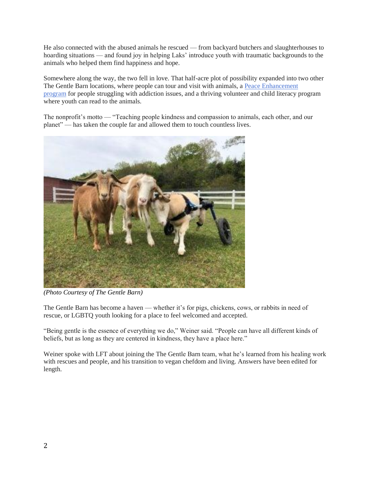He also connected with the abused animals he rescued — from backyard butchers and slaughterhouses to hoarding situations — and found joy in helping Laks' introduce youth with traumatic backgrounds to the animals who helped them find happiness and hope.

Somewhere along the way, the two fell in love. That half-acre plot of possibility expanded into two other The Gentle Barn locations, where people can tour and visit with animals, a [Peace Enhancement](https://www.gentlebarn.org/programs/)  [program](https://www.gentlebarn.org/programs/) for people struggling with addiction issues, and a thriving volunteer and child literacy program where youth can read to the animals.

The nonprofit's motto — "Teaching people kindness and compassion to animals, each other, and our planet" — has taken the couple far and allowed them to touch countless lives.



*(Photo Courtesy of The Gentle Barn)*

The Gentle Barn has become a haven — whether it's for pigs, chickens, cows, or rabbits in need of rescue, or LGBTQ youth looking for a place to feel welcomed and accepted.

"Being gentle is the essence of everything we do," Weiner said. "People can have all different kinds of beliefs, but as long as they are centered in kindness, they have a place here."

Weiner spoke with LFT about joining the The Gentle Barn team, what he's learned from his healing work with rescues and people, and his transition to vegan chefdom and living. Answers have been edited for length.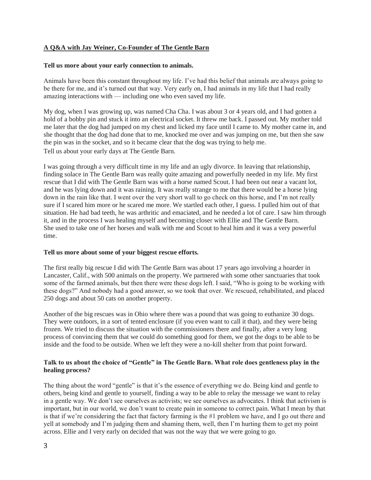# **A Q&A with Jay Weiner, Co-Founder of The Gentle Barn**

### **Tell us more about your early connection to animals.**

Animals have been this constant throughout my life. I've had this belief that animals are always going to be there for me, and it's turned out that way. Very early on, I had animals in my life that I had really amazing interactions with — including one who even saved my life.

My dog, when I was growing up, was named Cha Cha. I was about 3 or 4 years old, and I had gotten a hold of a bobby pin and stuck it into an electrical socket. It threw me back. I passed out. My mother told me later that the dog had jumped on my chest and licked my face until I came to. My mother came in, and she thought that the dog had done that to me, knocked me over and was jumping on me, but then she saw the pin was in the socket, and so it became clear that the dog was trying to help me. Tell us about your early days at The Gentle Barn.

I was going through a very difficult time in my life and an ugly divorce. In leaving that relationship, finding solace in The Gentle Barn was really quite amazing and powerfully needed in my life. My first rescue that I did with The Gentle Barn was with a horse named Scout. I had been out near a vacant lot, and he was lying down and it was raining. It was really strange to me that there would be a horse lying down in the rain like that. I went over the very short wall to go check on this horse, and I'm not really sure if I scared him more or he scared me more. We startled each other, I guess. I pulled him out of that situation. He had bad teeth, he was arthritic and emaciated, and he needed a lot of care. I saw him through it, and in the process I was healing myself and becoming closer with Ellie and The Gentle Barn. She used to take one of her horses and walk with me and Scout to heal him and it was a very powerful time.

#### **Tell us more about some of your biggest rescue efforts.**

The first really big rescue I did with The Gentle Barn was about 17 years ago involving a hoarder in Lancaster, Calif., with 500 animals on the property. We partnered with some other sanctuaries that took some of the farmed animals, but then there were these dogs left. I said, "Who is going to be working with these dogs?" And nobody had a good answer, so we took that over. We rescued, rehabilitated, and placed 250 dogs and about 50 cats on another property.

Another of the big rescues was in Ohio where there was a pound that was going to euthanize 30 dogs. They were outdoors, in a sort of tented enclosure (if you even want to call it that), and they were being frozen. We tried to discuss the situation with the commissioners there and finally, after a very long process of convincing them that we could do something good for them, we got the dogs to be able to be inside and the food to be outside. When we left they were a no-kill shelter from that point forward.

## **Talk to us about the choice of "Gentle" in The Gentle Barn. What role does gentleness play in the healing process?**

The thing about the word "gentle" is that it's the essence of everything we do. Being kind and gentle to others, being kind and gentle to yourself, finding a way to be able to relay the message we want to relay in a gentle way. We don't see ourselves as activists; we see ourselves as advocates. I think that activism is important, but in our world, we don't want to create pain in someone to correct pain. What I mean by that is that if we're considering the fact that factory farming is the #1 problem we have, and I go out there and yell at somebody and I'm judging them and shaming them, well, then I'm hurting them to get my point across. Ellie and I very early on decided that was not the way that we were going to go.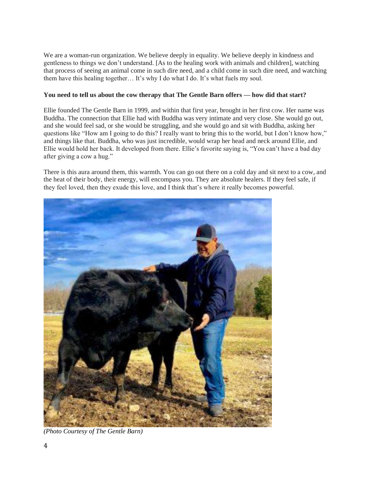We are a woman-run organization. We believe deeply in equality. We believe deeply in kindness and gentleness to things we don't understand. [As to the healing work with animals and children], watching that process of seeing an animal come in such dire need, and a child come in such dire need, and watching them have this healing together… It's why I do what I do. It's what fuels my soul.

# **You need to tell us about the cow therapy that The Gentle Barn offers — how did that start?**

Ellie founded The Gentle Barn in 1999, and within that first year, brought in her first cow. Her name was Buddha. The connection that Ellie had with Buddha was very intimate and very close. She would go out, and she would feel sad, or she would be struggling, and she would go and sit with Buddha, asking her questions like "How am I going to do this? I really want to bring this to the world, but I don't know how," and things like that. Buddha, who was just incredible, would wrap her head and neck around Ellie, and Ellie would hold her back. It developed from there. Ellie's favorite saying is, "You can't have a bad day after giving a cow a hug."

There is this aura around them, this warmth. You can go out there on a cold day and sit next to a cow, and the heat of their body, their energy, will encompass you. They are absolute healers. If they feel safe, if they feel loved, then they exude this love, and I think that's where it really becomes powerful.



*(Photo Courtesy of The Gentle Barn)*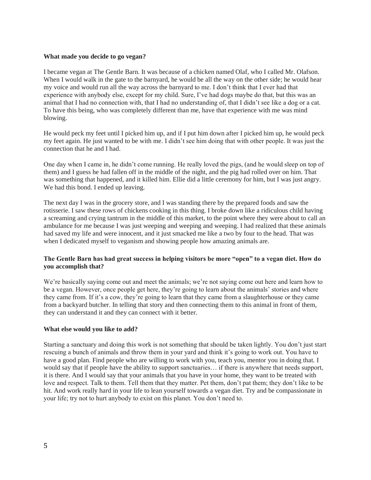### **What made you decide to go vegan?**

I became vegan at The Gentle Barn. It was because of a chicken named Olaf, who I called Mr. Olafson. When I would walk in the gate to the barnyard, he would be all the way on the other side; he would hear my voice and would run all the way across the barnyard to me. I don't think that I ever had that experience with anybody else, except for my child. Sure, I've had dogs maybe do that, but this was an animal that I had no connection with, that I had no understanding of, that I didn't see like a dog or a cat. To have this being, who was completely different than me, have that experience with me was mind blowing.

He would peck my feet until I picked him up, and if I put him down after I picked him up, he would peck my feet again. He just wanted to be with me. I didn't see him doing that with other people. It was just the connection that he and I had.

One day when I came in, he didn't come running. He really loved the pigs, (and he would sleep on top of them) and I guess he had fallen off in the middle of the night, and the pig had rolled over on him. That was something that happened, and it killed him. Ellie did a little ceremony for him, but I was just angry. We had this bond. I ended up leaving.

The next day I was in the grocery store, and I was standing there by the prepared foods and saw the rotisserie. I saw these rows of chickens cooking in this thing. I broke down like a ridiculous child having a screaming and crying tantrum in the middle of this market, to the point where they were about to call an ambulance for me because I was just weeping and weeping and weeping. I had realized that these animals had saved my life and were innocent, and it just smacked me like a two by four to the head. That was when I dedicated myself to veganism and showing people how amazing animals are.

# **The Gentle Barn has had great success in helping visitors be more "open" to a vegan diet. How do you accomplish that?**

We're basically saying come out and meet the animals; we're not saying come out here and learn how to be a vegan. However, once people get here, they're going to learn about the animals' stories and where they came from. If it's a cow, they're going to learn that they came from a slaughterhouse or they came from a backyard butcher. In telling that story and then connecting them to this animal in front of them, they can understand it and they can connect with it better.

## **What else would you like to add?**

Starting a sanctuary and doing this work is not something that should be taken lightly. You don't just start rescuing a bunch of animals and throw them in your yard and think it's going to work out. You have to have a good plan. Find people who are willing to work with you, teach you, mentor you in doing that. I would say that if people have the ability to support sanctuaries… if there is anywhere that needs support, it is there. And I would say that your animals that you have in your home, they want to be treated with love and respect. Talk to them. Tell them that they matter. Pet them, don't pat them; they don't like to be hit. And work really hard in your life to lean yourself towards a vegan diet. Try and be compassionate in your life; try not to hurt anybody to exist on this planet. You don't need to.